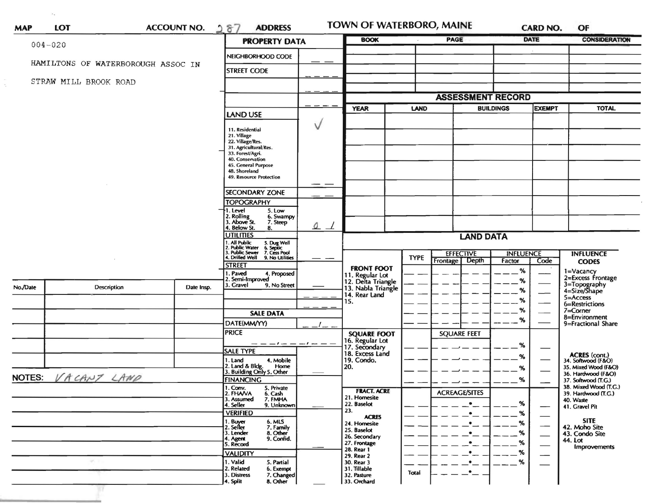| <b>MAP</b>                   | LOT                   |                                    | <b>ACCOUNT NO.</b> | 287<br><b>ADDRESS</b>                                                                                                                                                                                           |          | TOWN OF WATERBORO, MAINE                                    |             |                                      | <b>CARD NO.</b>            |                               | OF                                           |  |
|------------------------------|-----------------------|------------------------------------|--------------------|-----------------------------------------------------------------------------------------------------------------------------------------------------------------------------------------------------------------|----------|-------------------------------------------------------------|-------------|--------------------------------------|----------------------------|-------------------------------|----------------------------------------------|--|
|                              | $004 - 020$           |                                    |                    | <b>PROPERTY DATA</b>                                                                                                                                                                                            |          | <b>BOOK</b>                                                 |             | PAGE                                 |                            | <b>DATE</b>                   | <b>CONSIDERATION</b>                         |  |
|                              |                       |                                    |                    | NEIGHBORHOOD CODE                                                                                                                                                                                               |          |                                                             |             |                                      |                            |                               |                                              |  |
|                              |                       | HAMILTONS OF WATERBOROUGH ASSOC IN |                    | <b>STREET CODE</b>                                                                                                                                                                                              |          |                                                             |             |                                      |                            |                               |                                              |  |
|                              | STRAW MILL BROOK ROAD |                                    |                    |                                                                                                                                                                                                                 |          |                                                             |             |                                      |                            |                               |                                              |  |
|                              |                       |                                    |                    |                                                                                                                                                                                                                 |          |                                                             |             | <b>ASSESSMENT RECORD</b>             |                            |                               |                                              |  |
|                              |                       |                                    |                    |                                                                                                                                                                                                                 |          | <b>YEAR</b>                                                 |             | <b>LAND</b><br><b>BUILDINGS</b>      |                            | <b>EXEMPT</b>                 | <b>TOTAL</b>                                 |  |
|                              |                       |                                    |                    | <b>LAND USE</b>                                                                                                                                                                                                 |          |                                                             |             |                                      |                            |                               |                                              |  |
|                              |                       |                                    |                    | 11. Residential<br>21. Village<br>22. Village/Res.<br>31. Agricultural/Res.<br>33. Forest/Agri.<br>40. Conservation<br>45. General Purpose<br>48. Shoreland<br>49. Resource Protection<br><b>SECONDARY ZONE</b> | V<br>- - |                                                             |             |                                      |                            |                               |                                              |  |
|                              |                       |                                    |                    | <b>TOPOGRAPHY</b><br>I. Level<br>5. Low                                                                                                                                                                         |          |                                                             |             |                                      |                            |                               |                                              |  |
|                              |                       |                                    |                    | 2. Rolling<br>3. Above St.<br>6. Swampy<br>7. Steep<br>4. Below St.<br>8.<br><b>UTILITIES</b>                                                                                                                   | 0        |                                                             |             |                                      |                            |                               |                                              |  |
|                              |                       |                                    |                    |                                                                                                                                                                                                                 |          |                                                             |             |                                      |                            |                               |                                              |  |
|                              |                       |                                    |                    | <b>LAND DATA</b>                                                                                                                                                                                                |          |                                                             |             |                                      |                            |                               |                                              |  |
|                              |                       |                                    |                    | 1. All Public<br>2. Public Water<br>3. Public Sewer<br>4. Drilled Well<br>5. Dug Well<br>6. Septic<br>7. Cess Pool<br>9. No Utilities                                                                           |          |                                                             | <b>TYPE</b> | <b>EFFECTIVE</b><br>Frontage   Depth | <b>INFLUENCE</b><br>Factor | Code                          | <b>INFLUENCE</b><br><b>CODES</b>             |  |
|                              |                       |                                    |                    | <b>STREET</b><br>. Paved<br>4. Proposed                                                                                                                                                                         |          | <b>FRONT FOOT</b>                                           |             |                                      | %                          |                               |                                              |  |
|                              | Description           |                                    |                    | Semi-Improved<br>3. Gravel<br>9. No Street                                                                                                                                                                      |          | 11. Regular Lot<br>12. Delta Triangle<br>13. Nabla Triangle |             |                                      | %                          |                               | 1=Vacancy<br>2=Excess Frontage               |  |
| No./Date                     |                       |                                    | Date Insp.         |                                                                                                                                                                                                                 |          | 14. Rear Land                                               |             |                                      | %                          |                               | 3=Topography<br>4=Size/Shape<br>$5 =$ Access |  |
|                              |                       |                                    |                    |                                                                                                                                                                                                                 |          | 15.                                                         |             |                                      | %                          |                               | 6=Restrictions                               |  |
|                              |                       |                                    |                    | <b>SALE DATA</b>                                                                                                                                                                                                |          |                                                             |             |                                      | $\%$<br>%                  | $7 =$ Corner<br>8=Environment |                                              |  |
|                              |                       |                                    |                    | DATE(MM/YY)                                                                                                                                                                                                     |          |                                                             |             |                                      |                            |                               | 9=Fractional Share                           |  |
|                              |                       |                                    |                    | <b>PRICE</b>                                                                                                                                                                                                    |          | <b>SQUARE FOOT</b>                                          |             | <b>SQUARE FEET</b>                   |                            |                               |                                              |  |
|                              |                       |                                    |                    | $- -         -$<br><b>SALE TYPE</b>                                                                                                                                                                             |          | 16. Regular Lot<br>17. Secondary<br>18. Excess Land         |             |                                      | %                          |                               |                                              |  |
|                              |                       |                                    |                    | 4. Mobile<br>1. Land                                                                                                                                                                                            |          | 19. Condo.                                                  |             |                                      | %                          |                               | ACRES (cont.)<br>34. Softwood (F&O)          |  |
|                              |                       |                                    |                    | 2. Land & Bldg. Home<br>3. Building Only 5. Other<br>Home                                                                                                                                                       |          | 20.                                                         |             |                                      | %                          |                               | 35. Mixed Wood (F&O)<br>36. Hardwood (F&O)   |  |
| VACANT LAND<br><b>NOTES:</b> |                       |                                    |                    | <b>FINANCING</b>                                                                                                                                                                                                |          |                                                             |             |                                      | %                          |                               | 37. Softwood (T.G.)<br>38. Mixed Wood (T.G.) |  |
|                              |                       |                                    |                    | 5. Private<br>1. Conv.<br>2. FHAVA<br>6. Cash                                                                                                                                                                   |          | <b>FRACT. ACRE</b><br>21. Homesite                          |             | <b>ACREAGE/SITES</b>                 |                            |                               | 39. Hardwood (T.G.)                          |  |
|                              |                       |                                    |                    | 3. Assumed<br>7. FMHA<br>4. Seller<br>9. Unknown                                                                                                                                                                |          | 22. Baselot                                                 |             | $\bullet$                            | %                          |                               | 40. Waste<br>41. Gravel Pit                  |  |
|                              |                       |                                    |                    | <b>VERIFIED</b>                                                                                                                                                                                                 |          | 23.<br><b>ACRES</b>                                         |             | $\bullet$                            | %                          |                               |                                              |  |
|                              |                       |                                    |                    | 1. Buyer<br>6. MLS<br>2. Seller<br>7. Family                                                                                                                                                                    |          | 24. Homesite<br>25. Baselot                                 |             | $\bullet$                            | %                          |                               | <b>SITE</b><br>42. Moho Site                 |  |
|                              |                       |                                    |                    | 3. Lender<br>8. Other<br>9. Confid.<br>4. Agent                                                                                                                                                                 |          | 26. Secondary                                               |             | $\bullet$                            | %                          |                               | 43. Condo Site<br>44. Lot                    |  |
|                              |                       |                                    |                    | 5. Record                                                                                                                                                                                                       |          | 27. Frontage<br>28. Rear 1                                  |             | $\bullet$                            | %<br>%                     |                               | <b>Improvements</b>                          |  |
|                              | ur.                   |                                    |                    | <b>VALIDITY</b><br>1. Valid<br>5. Partial                                                                                                                                                                       |          | 29. Rear 2<br>30. Rear 3                                    |             | $\bullet$                            | %                          |                               |                                              |  |
|                              |                       |                                    |                    | 2. Related<br>6. Exempt                                                                                                                                                                                         |          | 31. Tillable                                                | Total       | $^{\bullet}-$                        |                            |                               |                                              |  |
|                              |                       |                                    |                    | 3. Distress<br>7. Changed<br>4. Split<br>8. Other                                                                                                                                                               |          | 32. Pasture<br>33. Orchard                                  |             |                                      |                            |                               |                                              |  |